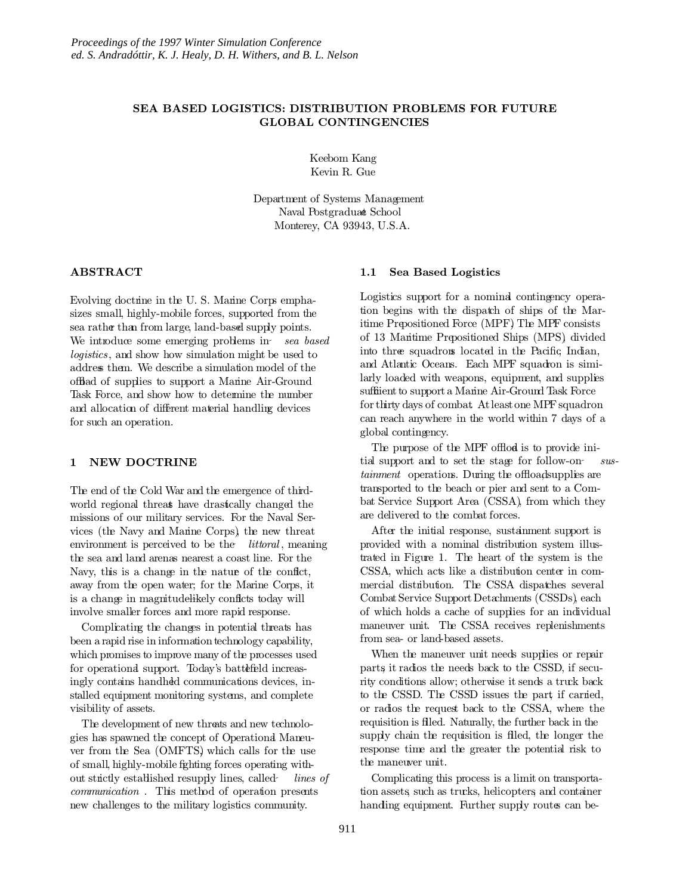# SEA BASED LOGISTICS: DISTRIBUTION PROBLEMS FOR FUTURE GLOBAL CONTINGENCIES

Keebom Kang Kevin R. Gue

Department of Systems Management Naval Postgraduat School Monterey, CA 93943, U.S.A.

## ABSTRACT

Evolving doctrine in the U.S. Marine Corps emphasizes small, highly-mobile forces, supported from the sea rather than from large, land-based supply points. We introduce some emerging problems in sea based logistics, and show how simulation might be used to address them. We describe a simulation model of the offlad of supplies to support a Marine Air-Ground Task Force, and show how to determine the number and allocation of different material handling devices for such an operation.

### 1 NEW DOCTRINE

The end of the Cold War and the emergence of thirdworld regional threat have drastically changed the missions of our military services. For the Naval Services (the Navy and Marine Corps), the new threat environment is perceived to be the *littoral*, meaning the sea and land arenas nearest a coast line. For the Navy, this is a change in the nature of the conflict, away from the open water; for the Marine Corps, it is a change in magnitude likely conflicts today will involve smaller forces and more rapid response.

Complicating the changes in potential threats has been a rapid rise in information technology capability, which promises to improve many of the processes used for operational support. Today's battlefield increasingly contains handheld communications devices, installed equipment monitoring systems, and complete visibility of assets.

The development of new threats and new technologies has spawned the concept of Operational Maneuver from the Sea (OMFTS) which calls for the use of small, highly-mobile fighting forces operating without strictly established resupply lines, called lines of communication . This method of operation presents new challenges to the military logistics community.

### 1.1 Sea Based Logistics

Logistics support for a nominal contingency operation begins with the dispatch of ships of the Maritime Prepositioned Force (MPF) The MPF consists of 13 Maritime Prepositioned Ships (MPS), divided into three squadrons located in the Pacific Indian, and Atlantic Oceans. Each MPF squadron is similarly loaded with weapons, equipment, and supplies suffiient to support a Marine Air-Ground Task Force for thirty days of combat. At least one MPF squadron can reach anywhere in the world within 7 days of a global contingency.

The purpose of the MPF offlod is to provide initial support and to set the stage for follow-on-<br>sustainment operations. During the offloadsupplies are transported to the beach or pier and sent to a Combat Service Support Area (CSSA), from which they are delivered to the combat forces.

After the initial response, sustainment support is provided with a nominal distribution system illustrated in Figure 1. The heart of the system is the CSSA, which acts like a distribution center in commercial distribution. The CSSA dispatches several CombatService SupportDetachments (CSSDs), each of which holds a cache of supplies for an individual maneuver unit. The CSSA receives replenishments from sea- or land-based assets.

When the maneuver unit needs supplies or repair parts, it radios the needs back to the CSSD, if security conditions allow; otherwise itsends a truck back to the CSSD. The CSSD issues the part, if carried, or radios the request back to the CSSA, where the requisition is filled. Naturally, the further back in the supply chain the requisition is filled, the longer the response time and the greater the potential risk to the maneuver unit.

Complicating this process is a limit on transportation assets, such as trucks, helicopters and container handing equipment. Further supply routes can be-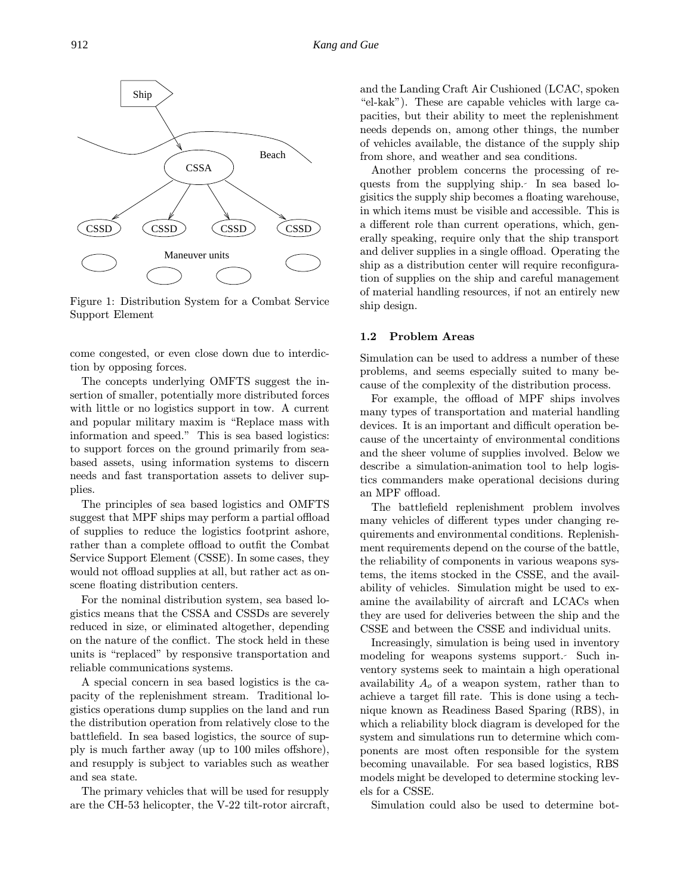

Figure 1: Distribution System for a Combat Service Support Element

come congested, or even close down due to interdiction by opposing forces.

The concepts underlying OMFTS suggest the insertion of smaller, potentially more distributed forces with little or no logistics support in tow. A current and popular military maxim is "Replace mass with information and speed." This is sea based logistics: to support forces on the ground primarily from seabased assets, using information systems to discern needs and fast transportation assets to deliver supplies.

The principles of sea based logistics and OMFTS suggest that MPF ships may perform a partial offload of supplies to reduce the logistics footprint ashore, rather than a complete offload to outfit the Combat Service Support Element (CSSE). In some cases, they would not offload supplies at all, but rather act as onscene floating distribution centers.

For the nominal distribution system, sea based logistics means that the CSSA and CSSDs are severely reduced in size, or eliminated altogether, depending on the nature of the conflict. The stock held in these units is "replaced" by responsive transportation and reliable communications systems.

A special concern in sea based logistics is the capacity of the replenishment stream. Traditional logistics operations dump supplies on the land and run the distribution operation from relatively close to the battlefield. In sea based logistics, the source of supply is much farther away (up to 100 miles offshore), and resupply is subject to variables such as weather and sea state.

The primary vehicles that will be used for resupply are the CH-53 helicopter, the V-22 tilt-rotor aircraft, and the Landing Craft Air Cushioned (LCAC, spoken "el-kak"). These are capable vehicles with large capacities, but their ability to meet the replenishment needs depends on, among other things, the number of vehicles available, the distance of the supply ship from shore, and weather and sea conditions.

Another problem concerns the processing of requests from the supplying ship. In sea based logisitics the supply ship becomes a floating warehouse, in which items must be visible and accessible. This is a different role than current operations, which, generally speaking, require only that the ship transport and deliver supplies in a single offload. Operating the ship as a distribution center will require reconfiguration of supplies on the ship and careful management of material handling resources, if not an entirely new ship design.

### 1.2 Problem Areas

Simulation can be used to address a number of these problems, and seems especially suited to many because of the complexity of the distribution process.

For example, the offload of MPF ships involves many types of transportation and material handling devices. It is an important and difficult operation because of the uncertainty of environmental conditions and the sheer volume of supplies involved. Below we describe a simulation-animation tool to help logistics commanders make operational decisions during an MPF offload.

The battlefield replenishment problem involves many vehicles of different types under changing requirements and environmental conditions. Replenishment requirements depend on the course of the battle, the reliability of components in various weapons systems, the items stocked in the CSSE, and the availability of vehicles. Simulation might be used to examine the availability of aircraft and LCACs when they are used for deliveries between the ship and the CSSE and between the CSSE and individual units.

Increasingly, simulation is being used in inventory modeling for weapons systems support. Such inventory systems seek to maintain a high operational availability  $A<sub>o</sub>$  of a weapon system, rather than to achieve a target fill rate. This is done using a technique known as Readiness Based Sparing (RBS), in which a reliability block diagram is developed for the system and simulations run to determine which components are most often responsible for the system becoming unavailable. For sea based logistics, RBS models might be developed to determine stocking levels for a CSSE.

Simulation could also be used to determine bot-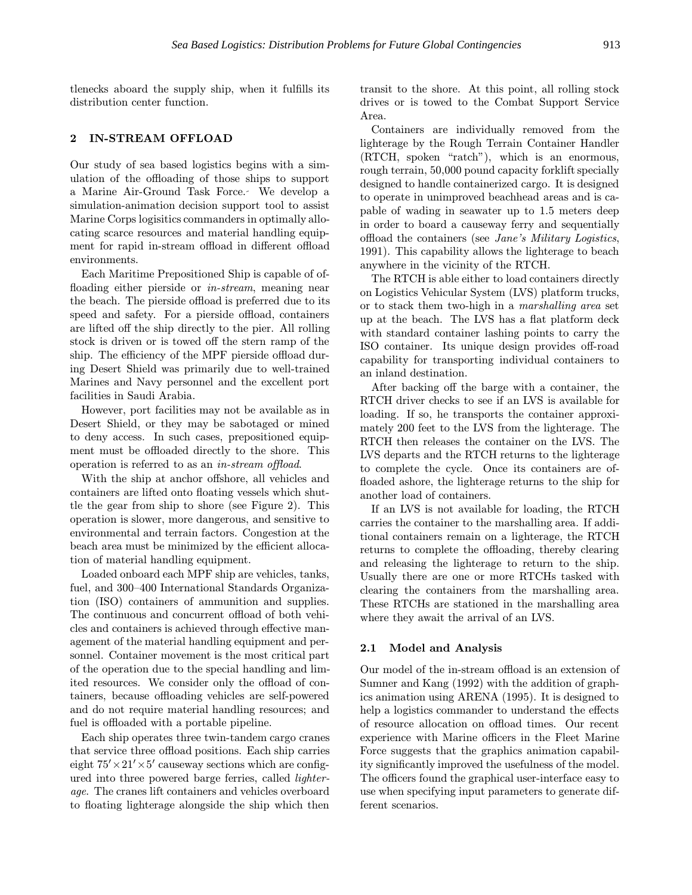tlenecks aboard the supply ship, when it fulfills its distribution center function.

## 2 IN-STREAM OFFLOAD

Our study of sea based logistics begins with a simulation of the offloading of those ships to support a Marine Air-Ground Task Force. We develop a simulation-animation decision support tool to assist Marine Corps logisitics commanders in optimally allocating scarce resources and material handling equipment for rapid in-stream offload in different offload environments.

Each Maritime Prepositioned Ship is capable of offloading either pierside or in-stream, meaning near the beach. The pierside offload is preferred due to its speed and safety. For a pierside offload, containers are lifted off the ship directly to the pier. All rolling stock is driven or is towed off the stern ramp of the ship. The efficiency of the MPF pierside offload during Desert Shield was primarily due to well-trained Marines and Navy personnel and the excellent port facilities in Saudi Arabia.

However, port facilities may not be available as in Desert Shield, or they may be sabotaged or mined to deny access. In such cases, prepositioned equipment must be offloaded directly to the shore. This operation is referred to as an in-stream offload.

With the ship at anchor offshore, all vehicles and containers are lifted onto floating vessels which shuttle the gear from ship to shore (see Figure 2). This operation is slower, more dangerous, and sensitive to environmental and terrain factors. Congestion at the beach area must be minimized by the efficient allocation of material handling equipment.

Loaded onboard each MPF ship are vehicles, tanks, fuel, and 300–400 International Standards Organization (ISO) containers of ammunition and supplies. The continuous and concurrent offload of both vehicles and containers is achieved through effective management of the material handling equipment and personnel. Container movement is the most critical part of the operation due to the special handling and limited resources. We consider only the offload of containers, because offloading vehicles are self-powered and do not require material handling resources; and fuel is offloaded with a portable pipeline.

Each ship operates three twin-tandem cargo cranes that service three offload positions. Each ship carries eight  $75' \times 21' \times 5'$  causeway sections which are configured into three powered barge ferries, called lighterage. The cranes lift containers and vehicles overboard to floating lighterage alongside the ship which then

transit to the shore. At this point, all rolling stock drives or is towed to the Combat Support Service Area.

Containers are individually removed from the lighterage by the Rough Terrain Container Handler (RTCH, spoken "ratch"), which is an enormous, rough terrain, 50,000 pound capacity for klift specially designed to handle containerized cargo. It is designed to operate in unimproved beachhead areas and is capable of wading in seawater up to 1.5 meters deep in order to board a causeway ferry and sequentially offload the containers (see Jane's Military Logistics, 1991). This capability allows the lighterage to beach anywhere in the vicinity of the RTCH.

The RTCH is able either to load containers directly on Logistics Vehicular System (LVS) platform trucks, or to stack them two-high in a marshalling area set up at the beach. The LVS has a flat platform deck with standard container lashing points to carry the ISO container. Its unique design provides off-road capability for transporting individual containers to an inland destination.

After backing off the barge with a container, the RTCH driver checks to see if an LVS is available for loading. If so, he transports the container approximately 200 feet to the LVS from the lighterage. The RTCH then releases the container on the LVS. The LVS departs and the RTCH returns to the lighterage to complete the cycle. Once its containers are offloaded ashore, the lighterage returns to the ship for another load of containers.

If an LVS is not available for loading, the RTCH carries the container to the marshalling area. If additional containers remain on a lighterage, the RTCH returns to complete the offloading, thereby clearing and releasing the lighterage to return to the ship. Usually there are one or more RTCHs tasked with clearing the containers from the marshalling area. These RTCHs are stationed in the marshalling area where they await the arrival of an LVS.

#### 2.1 Model and Analysis

Our model of the in-stream offload is an extension of Sumner and Kang (1992) with the addition of graphics animation using ARENA (1995). It is designed to help a logistics commander to understand the effects of resource allocation on offload times. Our recent experience with Marine officers in the Fleet Marine Force suggests that the graphics animation capability significantly improved the usefulness of the model. The officers found the graphical user-interface easy to use when specifying input parameters to generate different scenarios.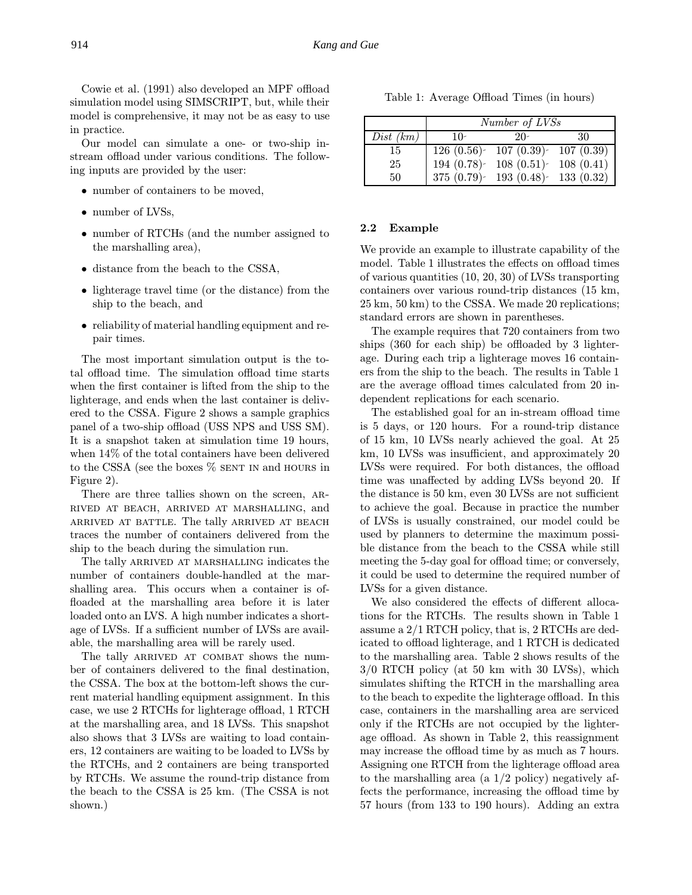Cowie et al. (1991) also developed an MPF offload simulation model using SIMSCRIPT, but, while their model is comprehensive, it may not be as easy to use in practice.

Our model can simulate a one- or two-ship instream offload under various conditions. The following inputs are provided by the user:

- number of containers to be moved,
- number of LVSs,
- number of RTCHs (and the number assigned to the marshalling area),
- distance from the beach to the CSSA,
- lighterage travel time (or the distance) from the ship to the beach, and
- reliability of material handling equipment and repair times.

The most important simulation output is the total offload time. The simulation offload time starts when the first container is lifted from the ship to the lighterage, and ends when the last container is delivered to the CSSA. Figure 2 shows a sample graphics panel of a two-ship offload (USS NPS and USS SM). It is a snapshot taken at simulation time 19 hours, when 14% of the total containers have been delivered to the CSSA (see the boxes  $\%$  SENT IN and HOURS in Figure 2).

There are three tallies shown on the screen, arrived at beach, arrived at marshalling, and arrived at battle. The tally arrived at beach traces the number of containers delivered from the ship to the beach during the simulation run.

The tally ARRIVED AT MARSHALLING indicates the number of containers double-handled at the marshalling area. This occurs when a container is offloaded at the marshalling area before it is later loaded onto an LVS. A high number indicates a shortage of LVSs. If a sufficient number of LVSs are available, the marshalling area will be rarely used.

The tally ARRIVED AT COMBAT shows the number of containers delivered to the final destination, the CSSA. The box at the bottom-left shows the current material handling equipment assignment. In this case, we use 2 RTCHs for lighterage offload, 1 RTCH at the marshalling area, and 18 LVSs. This snapshot also shows that 3 LVSs are waiting to load containers, 12 containers are waiting to be loaded to LVSs by the RTCHs, and 2 containers are being transported by RTCHs. We assume the round-trip distance from the beach to the CSSA is 25 km. (The CSSA is not shown.)

Table 1: Average Offload Times (in hours)

|          | Number of LVSs |                                        |    |
|----------|----------------|----------------------------------------|----|
| Dist(km) | $10-$          | $20-$                                  | 30 |
| 15       |                | $126(0.56)$ $107(0.39)$ $107(0.39)$    |    |
| 25       |                | $194 (0.78)$ $108 (0.51)$ $108 (0.41)$ |    |
| 50       |                | 375 $(0.79)$ 193 $(0.48)$ 133 $(0.32)$ |    |

### 2.2 Example

We provide an example to illustrate capability of the model. Table 1 illustrates the effects on offload times of various quantities (10, 20, 30) of LVSs transporting containers over various round-trip distances (15 km, 25 km, 50 km) to the CSSA. We made 20 replications; standard errors are shown in parentheses.

The example requires that 720 containers from two ships (360 for each ship) be offloaded by 3 lighterage. During each trip a lighterage moves 16 containers from the ship to the beach. The results in Table 1 are the average offload times calculated from 20 independent replications for each scenario.

The established goal for an in-stream offload time is 5 days, or 120 hours. For a round-trip distance of 15 km, 10 LVSs nearly achieved the goal. At 25 km, 10 LVSs was insufficient, and approximately 20 LVSs were required. For both distances, the offload time was unaffected by adding LVSs beyond 20. If the distance is 50 km, even 30 LVSs are not sufficient to achieve the goal. Because in practice the number of LVSs is usually constrained, our model could be used by planners to determine the maximum possible distance from the beach to the CSSA while still meeting the 5-day goal for offload time; or conversely, it could be used to determine the required number of LVSs for a given distance.

We also considered the effects of different allocations for the RTCHs. The results shown in Table 1 assume a 2/1 RTCH policy, that is, 2 RTCHs are dedicated to offload lighterage, and 1 RTCH is dedicated to the marshalling area. Table 2 shows results of the 3/0 RTCH policy (at 50 km with 30 LVSs), which simulates shifting the RTCH in the marshalling area to the beach to expedite the lighterage offload. In this case, containers in the marshalling area are serviced only if the RTCHs are not occupied by the lighterage offload. As shown in Table 2, this reassignment may increase the offload time by as much as 7 hours. Assigning one RTCH from the lighterage offload area to the marshalling area (a  $1/2$  policy) negatively affects the performance, increasing the offload time by 57 hours (from 133 to 190 hours). Adding an extra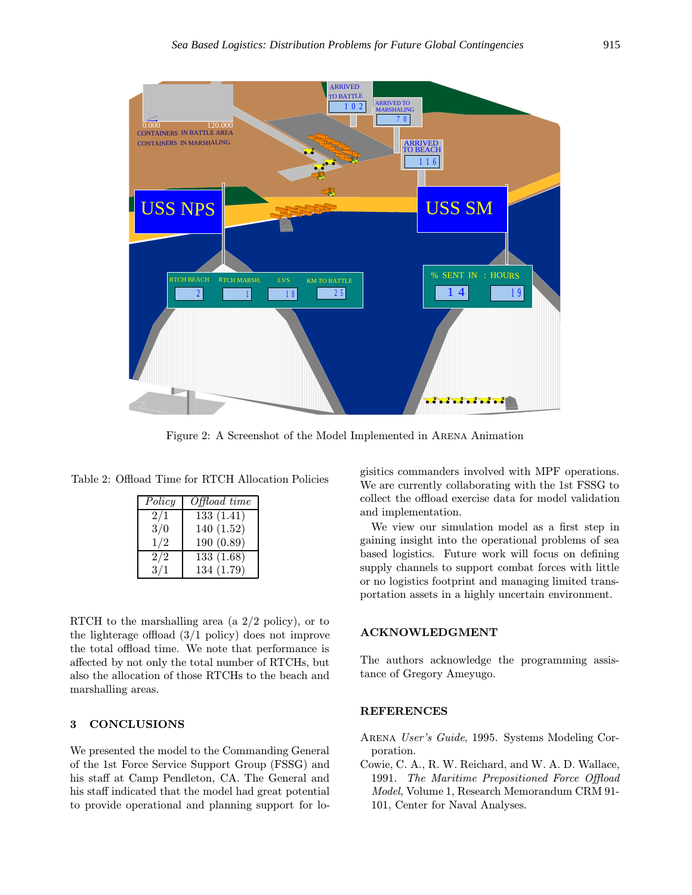

Figure 2: A Screenshot of the Model Implemented in Arena Animation

Table 2: Offload Time for RTCH Allocation Policies

| Policy | Offload time |
|--------|--------------|
| 2/1    | 133(1.41)    |
| 3/0    | 140(1.52)    |
| 1/2    | 190 (0.89)   |
| 2/2    | 133(1.68)    |
| 3/1    | 134 (1.79)   |

RTCH to the marshalling area (a 2/2 policy), or to the lighterage offload (3/1 policy) does not improve the total offload time. We note that performance is affected by not only the total number of RTCHs, but also the allocation of those RTCHs to the beach and marshalling areas.

## 3 CONCLUSIONS

We presented the model to the Commanding General of the 1st Force Service Support Group (FSSG) and his staff at Camp Pendleton, CA. The General and his staff indicated that the model had great potential to provide operational and planning support for logisitics commanders involved with MPF operations. We are currently collaborating with the 1st FSSG to collect the offload exercise data for model validation and implementation.

We view our simulation model as a first step in gaining insight into the operational problems of sea based logistics. Future work will focus on defining supply channels to support combat forces with little or no logistics footprint and managing limited transportation assets in a highly uncertain environment.

### ACKNOWLEDGMENT

The authors acknowledge the programming assistance of Gregory Ameyugo.

### REFERENCES

Arena User's Guide, 1995. Systems Modeling Corporation.

Cowie, C. A., R. W. Reichard, and W. A. D. Wallace, 1991. The Maritime Prepositioned Force Offload Model, Volume 1, Research Memorandum CRM 91- 101, Center for Naval Analyses.